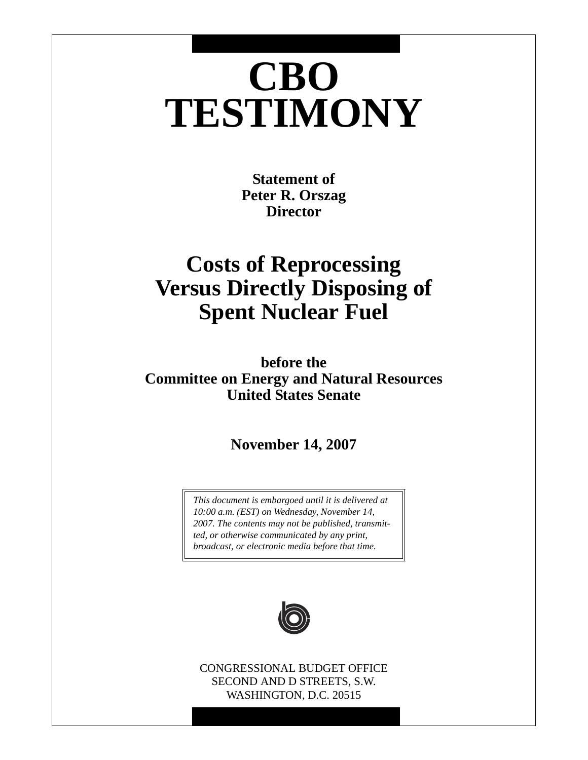# **CBO TESTIMONY**

**Statement of Peter R. Orszag Director**

## **Costs of Reprocessing Versus Directly Disposing of Spent Nuclear Fuel**

**before the Committee on Energy and Natural Resources United States Senate**

**November 14, 2007**

*This document is embargoed until it is delivered at 10:00 a.m. (EST) on Wednesday, November 14, 2007. The contents may not be published, transmitted, or otherwise communicated by any print, broadcast, or electronic media before that time.*



CONGRESSIONAL BUDGET OFFICE SECOND AND D STREETS, S.W. WASHINGTON, D.C. 20515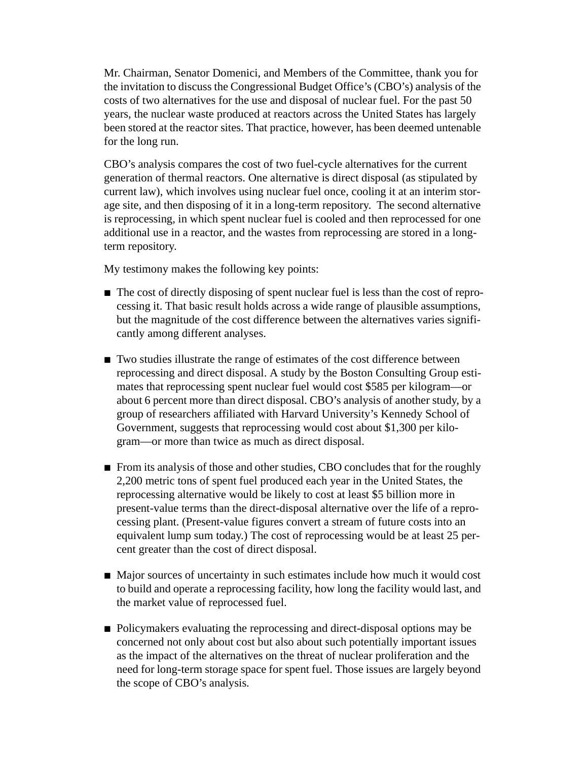Mr. Chairman, Senator Domenici, and Members of the Committee, thank you for the invitation to discuss the Congressional Budget Office's (CBO's) analysis of the costs of two alternatives for the use and disposal of nuclear fuel. For the past 50 years, the nuclear waste produced at reactors across the United States has largely been stored at the reactor sites. That practice, however, has been deemed untenable for the long run.

CBO's analysis compares the cost of two fuel-cycle alternatives for the current generation of thermal reactors. One alternative is direct disposal (as stipulated by current law), which involves using nuclear fuel once, cooling it at an interim storage site, and then disposing of it in a long-term repository. The second alternative is reprocessing, in which spent nuclear fuel is cooled and then reprocessed for one additional use in a reactor, and the wastes from reprocessing are stored in a longterm repository.

My testimony makes the following key points:

- $\blacksquare$  The cost of directly disposing of spent nuclear fuel is less than the cost of reprocessing it. That basic result holds across a wide range of plausible assumptions, but the magnitude of the cost difference between the alternatives varies significantly among different analyses.
- $\blacksquare$  Two studies illustrate the range of estimates of the cost difference between reprocessing and direct disposal. A study by the Boston Consulting Group estimates that reprocessing spent nuclear fuel would cost \$585 per kilogram—or about 6 percent more than direct disposal. CBO's analysis of another study, by a group of researchers affiliated with Harvard University's Kennedy School of Government, suggests that reprocessing would cost about \$1,300 per kilogram—or more than twice as much as direct disposal.
- From its analysis of those and other studies, CBO concludes that for the roughly 2,200 metric tons of spent fuel produced each year in the United States, the reprocessing alternative would be likely to cost at least \$5 billion more in present-value terms than the direct-disposal alternative over the life of a reprocessing plant. (Present-value figures convert a stream of future costs into an equivalent lump sum today.) The cost of reprocessing would be at least 25 percent greater than the cost of direct disposal.
- Major sources of uncertainty in such estimates include how much it would cost to build and operate a reprocessing facility, how long the facility would last, and the market value of reprocessed fuel.
- B Policymakers evaluating the reprocessing and direct-disposal options may be concerned not only about cost but also about such potentially important issues as the impact of the alternatives on the threat of nuclear proliferation and the need for long-term storage space for spent fuel. Those issues are largely beyond the scope of CBO's analysis.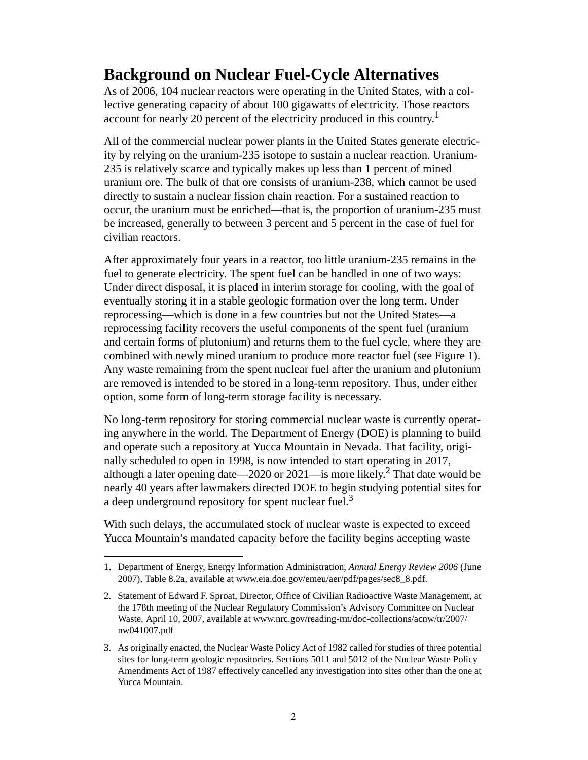## **Background on Nuclear Fuel-Cycle Alternatives**

As of 2006, 104 nuclear reactors were operating in the United States, with a collective generating capacity of about 100 gigawatts of electricity. Those reactors account for nearly 20 percent of the electricity produced in this country.<sup>1</sup>

All of the commercial nuclear power plants in the United States generate electricity by relying on the uranium-235 isotope to sustain a nuclear reaction. Uranium-235 is relatively scarce and typically makes up less than 1 percent of mined uranium ore. The bulk of that ore consists of uranium-238, which cannot be used directly to sustain a nuclear fission chain reaction. For a sustained reaction to occur, the uranium must be enriched—that is, the proportion of uranium-235 must be increased, generally to between 3 percent and 5 percent in the case of fuel for civilian reactors.

After approximately four years in a reactor, too little uranium-235 remains in the fuel to generate electricity. The spent fuel can be handled in one of two ways: Under direct disposal, it is placed in interim storage for cooling, with the goal of eventually storing it in a stable geologic formation over the long term. Under reprocessing—which is done in a few countries but not the United States—a reprocessing facility recovers the useful components of the spent fuel (uranium and certain forms of plutonium) and returns them to the fuel cycle, where they are combined with newly mined uranium to produce more reactor fuel (see [Figure 1](#page-4-0)). Any waste remaining from the spent nuclear fuel after the uranium and plutonium are removed is intended to be stored in a long-term repository. Thus, under either option, some form of long-term storage facility is necessary.

No long-term repository for storing commercial nuclear waste is currently operating anywhere in the world. The Department of Energy (DOE) is planning to build and operate such a repository at Yucca Mountain in Nevada. That facility, originally scheduled to open in 1998, is now intended to start operating in 2017, although a later opening date—2020 or 2021—is more likely.<sup>2</sup> That date would be nearly 40 years after lawmakers directed DOE to begin studying potential sites for a deep underground repository for spent nuclear fuel.<sup>3</sup>

With such delays, the accumulated stock of nuclear waste is expected to exceed Yucca Mountain's mandated capacity before the facility begins accepting waste

<sup>1.</sup> Department of Energy, Energy Information Administration, *Annual Energy Review 2006* (June 2007), Table 8.2a, available at www.eia.doe.gov/emeu/aer/pdf/pages/sec8\_8.pdf.

<sup>2.</sup> Statement of Edward F. Sproat, Director, Office of Civilian Radioactive Waste Management, at the 178th meeting of the Nuclear Regulatory Commission's Advisory Committee on Nuclear Waste, April 10, 2007, available at www.nrc.gov/reading-rm/doc-collections/acnw/tr/2007/ nw041007.pdf

<sup>3.</sup> As originally enacted, the Nuclear Waste Policy Act of 1982 called for studies of three potential sites for long-term geologic repositories. Sections 5011 and 5012 of the Nuclear Waste Policy Amendments Act of 1987 effectively cancelled any investigation into sites other than the one at Yucca Mountain.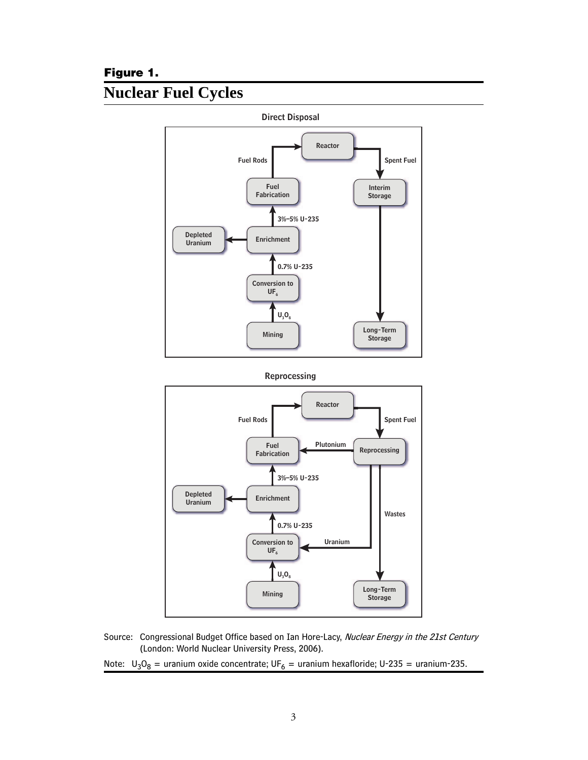#### <span id="page-4-0"></span>**Figure 1.**

## **Nuclear Fuel Cycles**



Source: Congressional Budget Office based on Ian Hore-Lacy, Nuclear Energy in the 21st Century (London: World Nuclear University Press, 2006).

**Long-Term Storage**

Note:  $U_3O_8$  = uranium oxide concentrate;  $UF_6$  = uranium hexafloride; U-235 = uranium-235.

**Mining**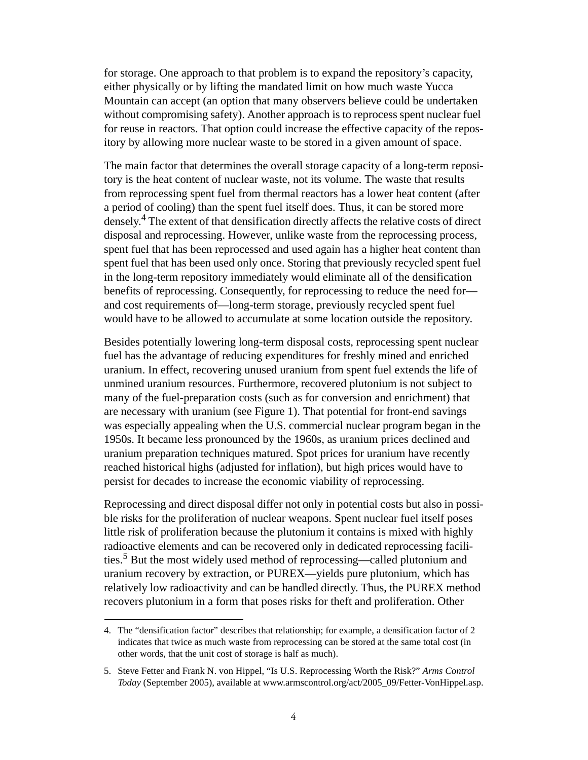for storage. One approach to that problem is to expand the repository's capacity, either physically or by lifting the mandated limit on how much waste Yucca Mountain can accept (an option that many observers believe could be undertaken without compromising safety). Another approach is to reprocess spent nuclear fuel for reuse in reactors. That option could increase the effective capacity of the repository by allowing more nuclear waste to be stored in a given amount of space.

The main factor that determines the overall storage capacity of a long-term repository is the heat content of nuclear waste, not its volume. The waste that results from reprocessing spent fuel from thermal reactors has a lower heat content (after a period of cooling) than the spent fuel itself does. Thus, it can be stored more densely.<sup>4</sup> The extent of that densification directly affects the relative costs of direct disposal and reprocessing. However, unlike waste from the reprocessing process, spent fuel that has been reprocessed and used again has a higher heat content than spent fuel that has been used only once. Storing that previously recycled spent fuel in the long-term repository immediately would eliminate all of the densification benefits of reprocessing. Consequently, for reprocessing to reduce the need for and cost requirements of—long-term storage, previously recycled spent fuel would have to be allowed to accumulate at some location outside the repository.

Besides potentially lowering long-term disposal costs, reprocessing spent nuclear fuel has the advantage of reducing expenditures for freshly mined and enriched uranium. In effect, recovering unused uranium from spent fuel extends the life of unmined uranium resources. Furthermore, recovered plutonium is not subject to many of the fuel-preparation costs (such as for conversion and enrichment) that are necessary with uranium (see [Figure 1\)](#page-4-0). That potential for front-end savings was especially appealing when the U.S. commercial nuclear program began in the 1950s. It became less pronounced by the 1960s, as uranium prices declined and uranium preparation techniques matured. Spot prices for uranium have recently reached historical highs (adjusted for inflation), but high prices would have to persist for decades to increase the economic viability of reprocessing.

Reprocessing and direct disposal differ not only in potential costs but also in possible risks for the proliferation of nuclear weapons. Spent nuclear fuel itself poses little risk of proliferation because the plutonium it contains is mixed with highly radioactive elements and can be recovered only in dedicated reprocessing facilities.<sup>5</sup> But the most widely used method of reprocessing—called plutonium and uranium recovery by extraction, or PUREX—yields pure plutonium, which has relatively low radioactivity and can be handled directly. Thus, the PUREX method recovers plutonium in a form that poses risks for theft and proliferation. Other

<sup>4.</sup> The "densification factor" describes that relationship; for example, a densification factor of 2 indicates that twice as much waste from reprocessing can be stored at the same total cost (in other words, that the unit cost of storage is half as much).

<sup>5.</sup> Steve Fetter and Frank N. von Hippel, "Is U.S. Reprocessing Worth the Risk?" *Arms Control Today* (September 2005), available at www.armscontrol.org/act/2005\_09/Fetter-VonHippel.asp.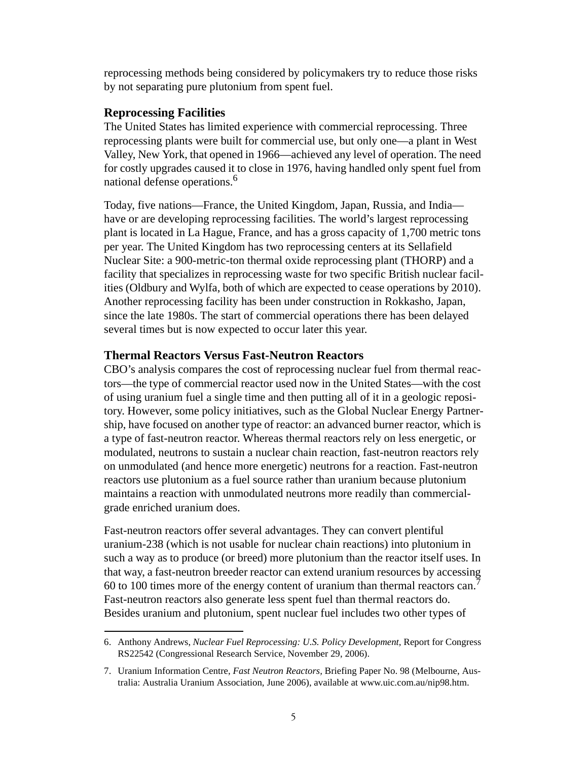reprocessing methods being considered by policymakers try to reduce those risks by not separating pure plutonium from spent fuel.

#### **Reprocessing Facilities**

The United States has limited experience with commercial reprocessing. Three reprocessing plants were built for commercial use, but only one—a plant in West Valley, New York, that opened in 1966—achieved any level of operation. The need for costly upgrades caused it to close in 1976, having handled only spent fuel from national defense operations.<sup>6</sup>

Today, five nations—France, the United Kingdom, Japan, Russia, and India have or are developing reprocessing facilities. The world's largest reprocessing plant is located in La Hague, France, and has a gross capacity of 1,700 metric tons per year. The United Kingdom has two reprocessing centers at its Sellafield Nuclear Site: a 900-metric-ton thermal oxide reprocessing plant (THORP) and a facility that specializes in reprocessing waste for two specific British nuclear facilities (Oldbury and Wylfa, both of which are expected to cease operations by 2010). Another reprocessing facility has been under construction in Rokkasho, Japan, since the late 1980s. The start of commercial operations there has been delayed several times but is now expected to occur later this year.

#### **Thermal Reactors Versus Fast-Neutron Reactors**

CBO's analysis compares the cost of reprocessing nuclear fuel from thermal reactors—the type of commercial reactor used now in the United States—with the cost of using uranium fuel a single time and then putting all of it in a geologic repository. However, some policy initiatives, such as the Global Nuclear Energy Partnership, have focused on another type of reactor: an advanced burner reactor, which is a type of fast-neutron reactor. Whereas thermal reactors rely on less energetic, or modulated, neutrons to sustain a nuclear chain reaction, fast-neutron reactors rely on unmodulated (and hence more energetic) neutrons for a reaction. Fast-neutron reactors use plutonium as a fuel source rather than uranium because plutonium maintains a reaction with unmodulated neutrons more readily than commercialgrade enriched uranium does.

Fast-neutron reactors offer several advantages. They can convert plentiful uranium-238 (which is not usable for nuclear chain reactions) into plutonium in such a way as to produce (or breed) more plutonium than the reactor itself uses. In that way, a fast-neutron breeder reactor can extend uranium resources by accessing 60 to 100 times more of the energy content of uranium than thermal reactors can.<sup>7</sup> Fast-neutron reactors also generate less spent fuel than thermal reactors do. Besides uranium and plutonium, spent nuclear fuel includes two other types of

<sup>6.</sup> Anthony Andrews, *Nuclear Fuel Reprocessing: U.S. Policy Development,* Report for Congress RS22542 (Congressional Research Service, November 29, 2006).

<sup>7.</sup> Uranium Information Centre, *Fast Neutron Reactors,* Briefing Paper No. 98 (Melbourne, Australia: Australia Uranium Association, June 2006), available at www.uic.com.au/nip98.htm.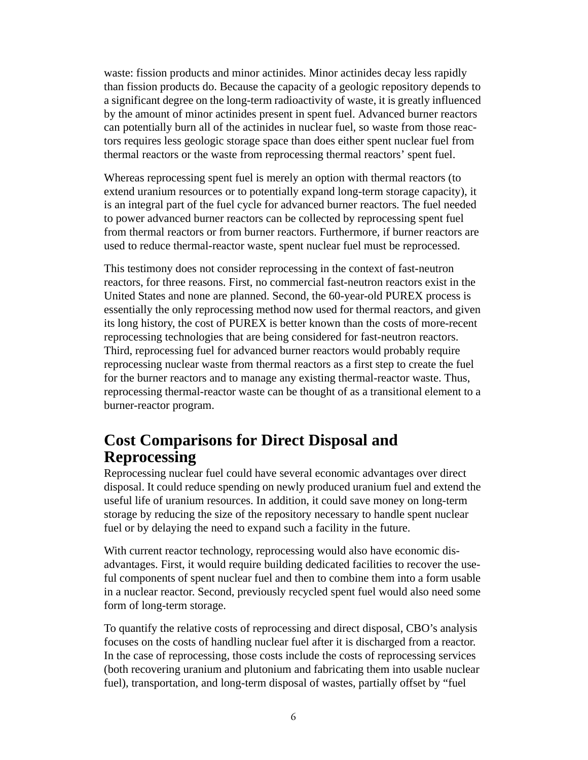waste: fission products and minor actinides. Minor actinides decay less rapidly than fission products do. Because the capacity of a geologic repository depends to a significant degree on the long-term radioactivity of waste, it is greatly influenced by the amount of minor actinides present in spent fuel. Advanced burner reactors can potentially burn all of the actinides in nuclear fuel, so waste from those reactors requires less geologic storage space than does either spent nuclear fuel from thermal reactors or the waste from reprocessing thermal reactors' spent fuel.

Whereas reprocessing spent fuel is merely an option with thermal reactors (to extend uranium resources or to potentially expand long-term storage capacity), it is an integral part of the fuel cycle for advanced burner reactors. The fuel needed to power advanced burner reactors can be collected by reprocessing spent fuel from thermal reactors or from burner reactors. Furthermore, if burner reactors are used to reduce thermal-reactor waste, spent nuclear fuel must be reprocessed.

This testimony does not consider reprocessing in the context of fast-neutron reactors, for three reasons. First, no commercial fast-neutron reactors exist in the United States and none are planned. Second, the 60-year-old PUREX process is essentially the only reprocessing method now used for thermal reactors, and given its long history, the cost of PUREX is better known than the costs of more-recent reprocessing technologies that are being considered for fast-neutron reactors. Third, reprocessing fuel for advanced burner reactors would probably require reprocessing nuclear waste from thermal reactors as a first step to create the fuel for the burner reactors and to manage any existing thermal-reactor waste. Thus, reprocessing thermal-reactor waste can be thought of as a transitional element to a burner-reactor program.

## **Cost Comparisons for Direct Disposal and Reprocessing**

Reprocessing nuclear fuel could have several economic advantages over direct disposal. It could reduce spending on newly produced uranium fuel and extend the useful life of uranium resources. In addition, it could save money on long-term storage by reducing the size of the repository necessary to handle spent nuclear fuel or by delaying the need to expand such a facility in the future.

With current reactor technology, reprocessing would also have economic disadvantages. First, it would require building dedicated facilities to recover the useful components of spent nuclear fuel and then to combine them into a form usable in a nuclear reactor. Second, previously recycled spent fuel would also need some form of long-term storage.

To quantify the relative costs of reprocessing and direct disposal, CBO's analysis focuses on the costs of handling nuclear fuel after it is discharged from a reactor. In the case of reprocessing, those costs include the costs of reprocessing services (both recovering uranium and plutonium and fabricating them into usable nuclear fuel), transportation, and long-term disposal of wastes, partially offset by "fuel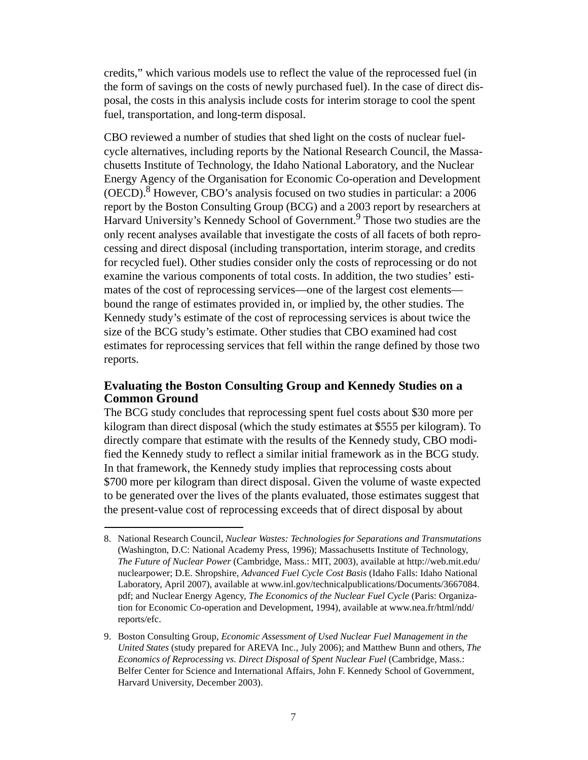credits," which various models use to reflect the value of the reprocessed fuel (in the form of savings on the costs of newly purchased fuel). In the case of direct disposal, the costs in this analysis include costs for interim storage to cool the spent fuel, transportation, and long-term disposal.

CBO reviewed a number of studies that shed light on the costs of nuclear fuelcycle alternatives, including reports by the National Research Council, the Massachusetts Institute of Technology, the Idaho National Laboratory, and the Nuclear Energy Agency of the Organisation for Economic Co-operation and Development  $(OECD).$ <sup>8</sup> However, CBO's analysis focused on two studies in particular: a 2006 report by the Boston Consulting Group (BCG) and a 2003 report by researchers at Harvard University's Kennedy School of Government.<sup>9</sup> Those two studies are the only recent analyses available that investigate the costs of all facets of both reprocessing and direct disposal (including transportation, interim storage, and credits for recycled fuel). Other studies consider only the costs of reprocessing or do not examine the various components of total costs. In addition, the two studies' estimates of the cost of reprocessing services—one of the largest cost elements bound the range of estimates provided in, or implied by, the other studies. The Kennedy study's estimate of the cost of reprocessing services is about twice the size of the BCG study's estimate. Other studies that CBO examined had cost estimates for reprocessing services that fell within the range defined by those two reports.

#### **Evaluating the Boston Consulting Group and Kennedy Studies on a Common Ground**

The BCG study concludes that reprocessing spent fuel costs about \$30 more per kilogram than direct disposal (which the study estimates at \$555 per kilogram). To directly compare that estimate with the results of the Kennedy study, CBO modified the Kennedy study to reflect a similar initial framework as in the BCG study. In that framework, the Kennedy study implies that reprocessing costs about \$700 more per kilogram than direct disposal. Given the volume of waste expected to be generated over the lives of the plants evaluated, those estimates suggest that the present-value cost of reprocessing exceeds that of direct disposal by about

<sup>8.</sup> National Research Council, *Nuclear Wastes: Technologies for Separations and Transmutations* (Washington, D.C: National Academy Press, 1996); Massachusetts Institute of Technology, *The Future of Nuclear Power* (Cambridge, Mass.: MIT, 2003), available at http://web.mit.edu/ nuclearpower; D.E. Shropshire, *Advanced Fuel Cycle Cost Basis* (Idaho Falls: Idaho National Laboratory, April 2007), available at www.inl.gov/technicalpublications/Documents/3667084. pdf; and Nuclear Energy Agency, *The Economics of the Nuclear Fuel Cycle* (Paris: Organization for Economic Co-operation and Development, 1994), available at www.nea.fr/html/ndd/ reports/efc.

<sup>9.</sup> Boston Consulting Group, *Economic Assessment of Used Nuclear Fuel Management in the United States* (study prepared for AREVA Inc., July 2006); and Matthew Bunn and others, *The Economics of Reprocessing vs. Direct Disposal of Spent Nuclear Fuel* (Cambridge, Mass.: Belfer Center for Science and International Affairs, John F. Kennedy School of Government, Harvard University, December 2003).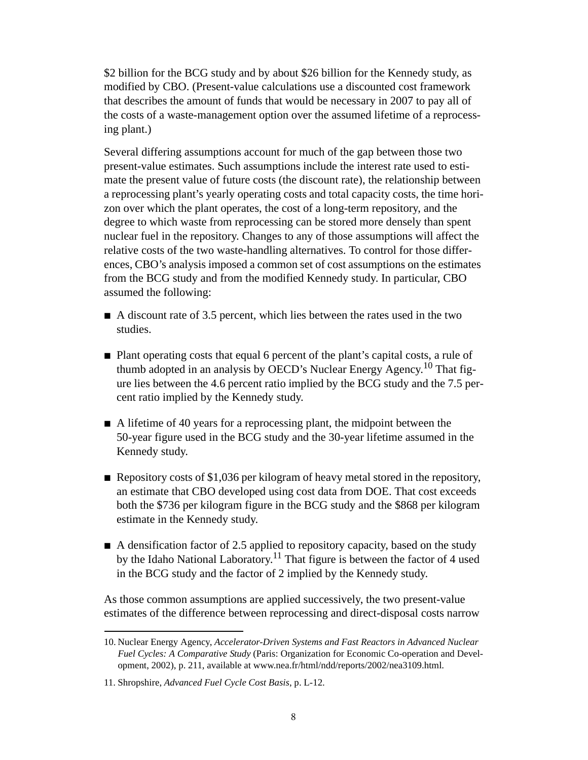\$2 billion for the BCG study and by about \$26 billion for the Kennedy study, as modified by CBO. (Present-value calculations use a discounted cost framework that describes the amount of funds that would be necessary in 2007 to pay all of the costs of a waste-management option over the assumed lifetime of a reprocessing plant.)

Several differing assumptions account for much of the gap between those two present-value estimates. Such assumptions include the interest rate used to estimate the present value of future costs (the discount rate), the relationship between a reprocessing plant's yearly operating costs and total capacity costs, the time horizon over which the plant operates, the cost of a long-term repository, and the degree to which waste from reprocessing can be stored more densely than spent nuclear fuel in the repository. Changes to any of those assumptions will affect the relative costs of the two waste-handling alternatives. To control for those differences, CBO's analysis imposed a common set of cost assumptions on the estimates from the BCG study and from the modified Kennedy study. In particular, CBO assumed the following:

- $\blacksquare$  A discount rate of 3.5 percent, which lies between the rates used in the two studies.
- $\blacksquare$  Plant operating costs that equal 6 percent of the plant's capital costs, a rule of thumb adopted in an analysis by OECD's Nuclear Energy Agency.<sup>10</sup> That figure lies between the 4.6 percent ratio implied by the BCG study and the 7.5 percent ratio implied by the Kennedy study.
- $\blacksquare$  A lifetime of 40 years for a reprocessing plant, the midpoint between the 50-year figure used in the BCG study and the 30-year lifetime assumed in the Kennedy study.
- Repository costs of \$1,036 per kilogram of heavy metal stored in the repository, an estimate that CBO developed using cost data from DOE. That cost exceeds both the \$736 per kilogram figure in the BCG study and the \$868 per kilogram estimate in the Kennedy study.
- $\blacksquare$  A densification factor of 2.5 applied to repository capacity, based on the study by the Idaho National Laboratory.<sup>11</sup> That figure is between the factor of 4 used in the BCG study and the factor of 2 implied by the Kennedy study.

As those common assumptions are applied successively, the two present-value estimates of the difference between reprocessing and direct-disposal costs narrow

<sup>10.</sup> Nuclear Energy Agency, *Accelerator-Driven Systems and Fast Reactors in Advanced Nuclear Fuel Cycles: A Comparative Study* (Paris: Organization for Economic Co-operation and Development, 2002), p. 211, available at www.nea.fr/html/ndd/reports/2002/nea3109.html.

<sup>11.</sup> Shropshire, *Advanced Fuel Cycle Cost Basis*, p. L-12.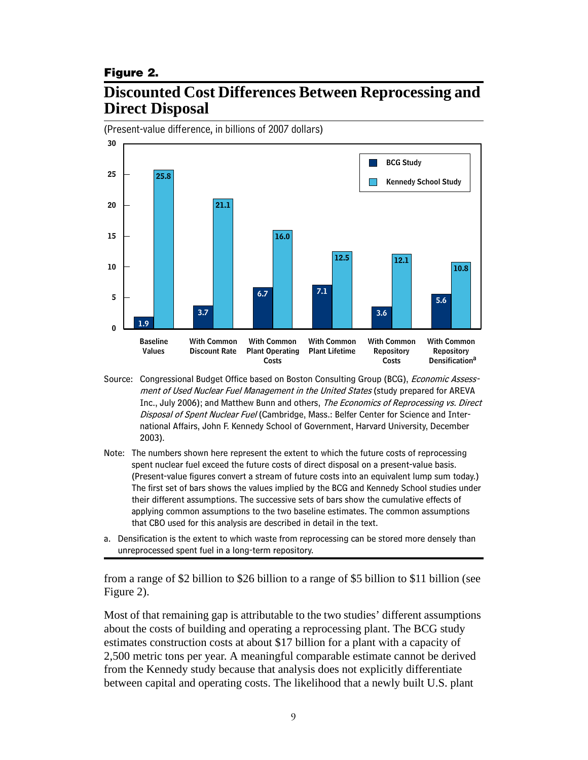#### <span id="page-10-0"></span>**Figure 2.**

## **Discounted Cost Differences Between Reprocessing and Direct Disposal**



Source: Congressional Budget Office based on Boston Consulting Group (BCG), *Economic Assess*ment of Used Nuclear Fuel Management in the United States (study prepared for AREVA Inc., July 2006); and Matthew Bunn and others, *The Economics of Reprocessing vs. Direct* Disposal of Spent Nuclear Fuel (Cambridge, Mass.: Belfer Center for Science and International Affairs, John F. Kennedy School of Government, Harvard University, December 2003).

- Note: The numbers shown here represent the extent to which the future costs of reprocessing spent nuclear fuel exceed the future costs of direct disposal on a present-value basis. (Present-value figures convert a stream of future costs into an equivalent lump sum today.) The first set of bars shows the values implied by the BCG and Kennedy School studies under their different assumptions. The successive sets of bars show the cumulative effects of applying common assumptions to the two baseline estimates. The common assumptions that CBO used for this analysis are described in detail in the text.
- a. Densification is the extent to which waste from reprocessing can be stored more densely than unreprocessed spent fuel in a long-term repository.

from a range of \$2 billion to \$26 billion to a range of \$5 billion to \$11 billion (see [Figure 2\)](#page-10-0).

Most of that remaining gap is attributable to the two studies' different assumptions about the costs of building and operating a reprocessing plant. The BCG study estimates construction costs at about \$17 billion for a plant with a capacity of 2,500 metric tons per year. A meaningful comparable estimate cannot be derived from the Kennedy study because that analysis does not explicitly differentiate between capital and operating costs. The likelihood that a newly built U.S. plant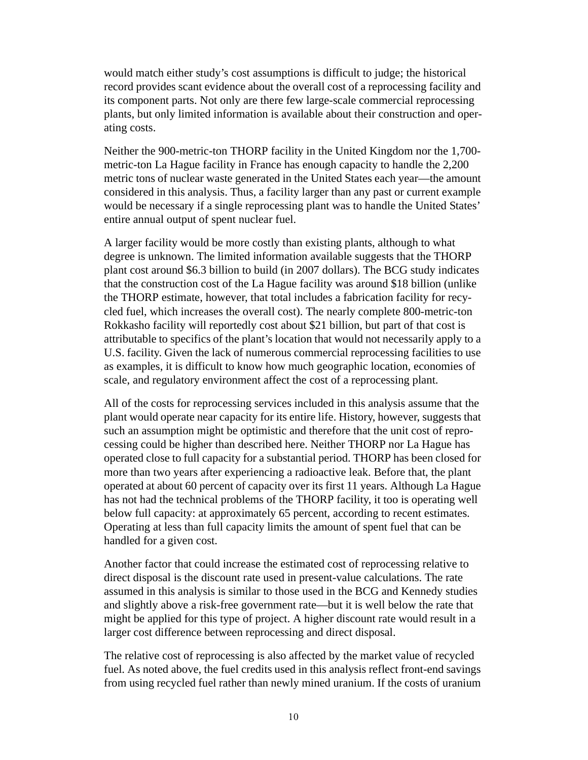would match either study's cost assumptions is difficult to judge; the historical record provides scant evidence about the overall cost of a reprocessing facility and its component parts. Not only are there few large-scale commercial reprocessing plants, but only limited information is available about their construction and operating costs.

Neither the 900-metric-ton THORP facility in the United Kingdom nor the 1,700 metric-ton La Hague facility in France has enough capacity to handle the 2,200 metric tons of nuclear waste generated in the United States each year—the amount considered in this analysis. Thus, a facility larger than any past or current example would be necessary if a single reprocessing plant was to handle the United States' entire annual output of spent nuclear fuel.

A larger facility would be more costly than existing plants, although to what degree is unknown. The limited information available suggests that the THORP plant cost around \$6.3 billion to build (in 2007 dollars). The BCG study indicates that the construction cost of the La Hague facility was around \$18 billion (unlike the THORP estimate, however, that total includes a fabrication facility for recycled fuel, which increases the overall cost). The nearly complete 800-metric-ton Rokkasho facility will reportedly cost about \$21 billion, but part of that cost is attributable to specifics of the plant's location that would not necessarily apply to a U.S. facility. Given the lack of numerous commercial reprocessing facilities to use as examples, it is difficult to know how much geographic location, economies of scale, and regulatory environment affect the cost of a reprocessing plant.

All of the costs for reprocessing services included in this analysis assume that the plant would operate near capacity for its entire life. History, however, suggests that such an assumption might be optimistic and therefore that the unit cost of reprocessing could be higher than described here. Neither THORP nor La Hague has operated close to full capacity for a substantial period. THORP has been closed for more than two years after experiencing a radioactive leak. Before that, the plant operated at about 60 percent of capacity over its first 11 years. Although La Hague has not had the technical problems of the THORP facility, it too is operating well below full capacity: at approximately 65 percent, according to recent estimates. Operating at less than full capacity limits the amount of spent fuel that can be handled for a given cost.

Another factor that could increase the estimated cost of reprocessing relative to direct disposal is the discount rate used in present-value calculations. The rate assumed in this analysis is similar to those used in the BCG and Kennedy studies and slightly above a risk-free government rate—but it is well below the rate that might be applied for this type of project. A higher discount rate would result in a larger cost difference between reprocessing and direct disposal.

The relative cost of reprocessing is also affected by the market value of recycled fuel. As noted above, the fuel credits used in this analysis reflect front-end savings from using recycled fuel rather than newly mined uranium. If the costs of uranium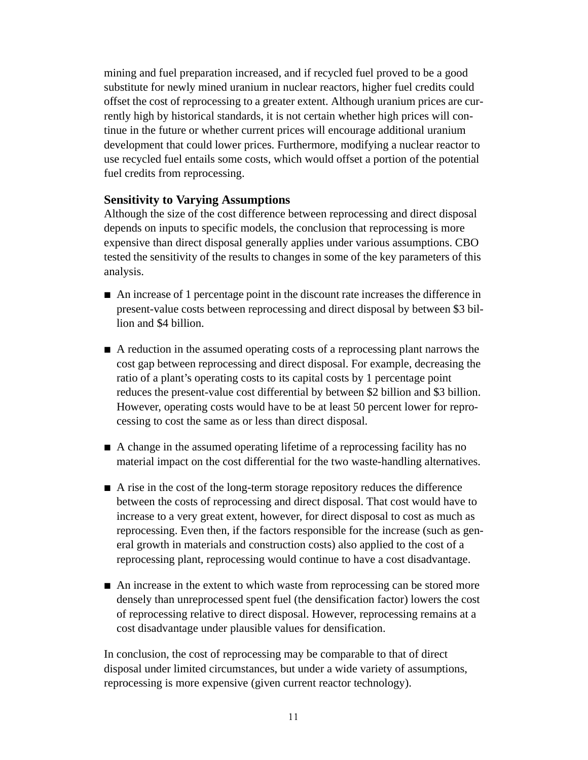mining and fuel preparation increased, and if recycled fuel proved to be a good substitute for newly mined uranium in nuclear reactors, higher fuel credits could offset the cost of reprocessing to a greater extent. Although uranium prices are currently high by historical standards, it is not certain whether high prices will continue in the future or whether current prices will encourage additional uranium development that could lower prices. Furthermore, modifying a nuclear reactor to use recycled fuel entails some costs, which would offset a portion of the potential fuel credits from reprocessing.

#### **Sensitivity to Varying Assumptions**

Although the size of the cost difference between reprocessing and direct disposal depends on inputs to specific models, the conclusion that reprocessing is more expensive than direct disposal generally applies under various assumptions. CBO tested the sensitivity of the results to changes in some of the key parameters of this analysis.

- B An increase of 1 percentage point in the discount rate increases the difference in present-value costs between reprocessing and direct disposal by between \$3 billion and \$4 billion.
- A reduction in the assumed operating costs of a reprocessing plant narrows the cost gap between reprocessing and direct disposal. For example, decreasing the ratio of a plant's operating costs to its capital costs by 1 percentage point reduces the present-value cost differential by between \$2 billion and \$3 billion. However, operating costs would have to be at least 50 percent lower for reprocessing to cost the same as or less than direct disposal.
- A change in the assumed operating lifetime of a reprocessing facility has no material impact on the cost differential for the two waste-handling alternatives.
- $\blacksquare$  A rise in the cost of the long-term storage repository reduces the difference between the costs of reprocessing and direct disposal. That cost would have to increase to a very great extent, however, for direct disposal to cost as much as reprocessing. Even then, if the factors responsible for the increase (such as general growth in materials and construction costs) also applied to the cost of a reprocessing plant, reprocessing would continue to have a cost disadvantage.
- $\blacksquare$  An increase in the extent to which waste from reprocessing can be stored more densely than unreprocessed spent fuel (the densification factor) lowers the cost of reprocessing relative to direct disposal. However, reprocessing remains at a cost disadvantage under plausible values for densification.

In conclusion, the cost of reprocessing may be comparable to that of direct disposal under limited circumstances, but under a wide variety of assumptions, reprocessing is more expensive (given current reactor technology).